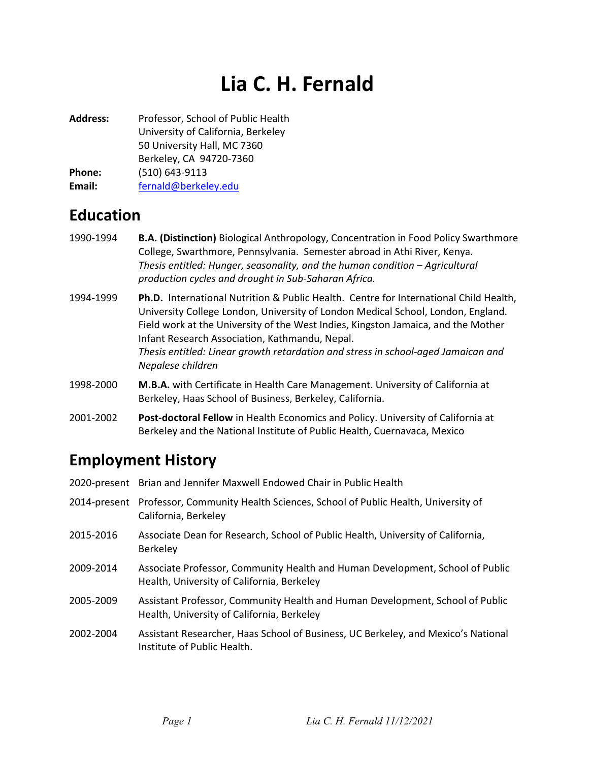# Lia C. H. Fernald

Address: Professor, School of Public Health University of California, Berkeley 50 University Hall, MC 7360 Berkeley, CA 94720-7360 Phone: (510) 643-9113 Email: fernald@berkeley.edu

## Education

- 1990-1994 B.A. (Distinction) Biological Anthropology, Concentration in Food Policy Swarthmore College, Swarthmore, Pennsylvania. Semester abroad in Athi River, Kenya. Thesis entitled: Hunger, seasonality, and the human condition – Agricultural production cycles and drought in Sub-Saharan Africa.
- 1994-1999 Ph.D. International Nutrition & Public Health. Centre for International Child Health, University College London, University of London Medical School, London, England. Field work at the University of the West Indies, Kingston Jamaica, and the Mother Infant Research Association, Kathmandu, Nepal. Thesis entitled: Linear growth retardation and stress in school-aged Jamaican and Nepalese children
- 1998-2000 M.B.A. with Certificate in Health Care Management. University of California at Berkeley, Haas School of Business, Berkeley, California.
- 2001-2002 Post-doctoral Fellow in Health Economics and Policy. University of California at Berkeley and the National Institute of Public Health, Cuernavaca, Mexico

### Employment History

|              | 2020-present Brian and Jennifer Maxwell Endowed Chair in Public Health                                                      |
|--------------|-----------------------------------------------------------------------------------------------------------------------------|
| 2014-present | Professor, Community Health Sciences, School of Public Health, University of<br>California, Berkeley                        |
| 2015-2016    | Associate Dean for Research, School of Public Health, University of California,<br>Berkeley                                 |
| 2009-2014    | Associate Professor, Community Health and Human Development, School of Public<br>Health, University of California, Berkeley |
| 2005-2009    | Assistant Professor, Community Health and Human Development, School of Public<br>Health, University of California, Berkeley |
| 2002-2004    | Assistant Researcher, Haas School of Business, UC Berkeley, and Mexico's National<br>Institute of Public Health.            |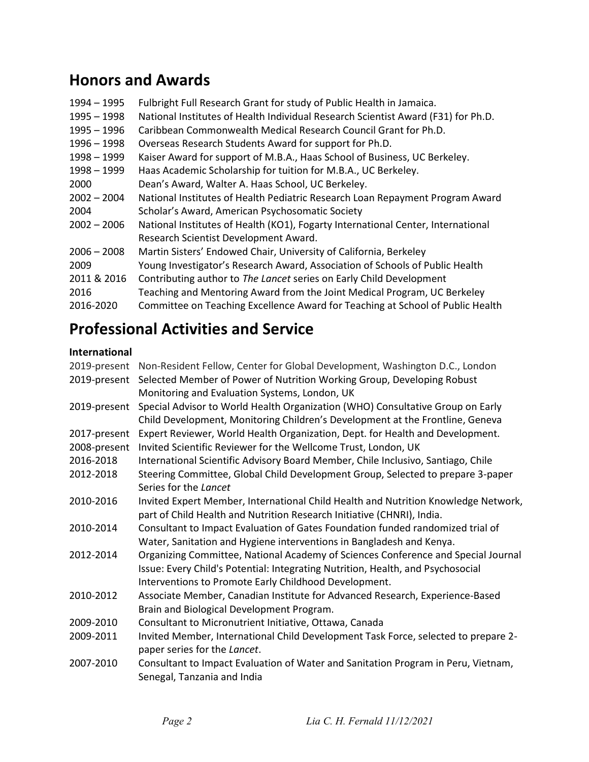# Honors and Awards

| Fulbright Full Research Grant for study of Public Health in Jamaica.              |
|-----------------------------------------------------------------------------------|
| National Institutes of Health Individual Research Scientist Award (F31) for Ph.D. |
| Caribbean Commonwealth Medical Research Council Grant for Ph.D.                   |
| Overseas Research Students Award for support for Ph.D.                            |
| Kaiser Award for support of M.B.A., Haas School of Business, UC Berkeley.         |
| Haas Academic Scholarship for tuition for M.B.A., UC Berkeley.                    |
| Dean's Award, Walter A. Haas School, UC Berkeley.                                 |
| National Institutes of Health Pediatric Research Loan Repayment Program Award     |
| Scholar's Award, American Psychosomatic Society                                   |
| National Institutes of Health (KO1), Fogarty International Center, International  |
| Research Scientist Development Award.                                             |
| Martin Sisters' Endowed Chair, University of California, Berkeley                 |
| Young Investigator's Research Award, Association of Schools of Public Health      |
| Contributing author to The Lancet series on Early Child Development               |
| Teaching and Mentoring Award from the Joint Medical Program, UC Berkeley          |
| Committee on Teaching Excellence Award for Teaching at School of Public Health    |
|                                                                                   |

# Professional Activities and Service

#### International

|              | 2019-present Non-Resident Fellow, Center for Global Development, Washington D.C., London |
|--------------|------------------------------------------------------------------------------------------|
| 2019-present | Selected Member of Power of Nutrition Working Group, Developing Robust                   |
|              | Monitoring and Evaluation Systems, London, UK                                            |
| 2019-present | Special Advisor to World Health Organization (WHO) Consultative Group on Early           |
|              | Child Development, Monitoring Children's Development at the Frontline, Geneva            |
| 2017-present | Expert Reviewer, World Health Organization, Dept. for Health and Development.            |
| 2008-present | Invited Scientific Reviewer for the Wellcome Trust, London, UK                           |
| 2016-2018    | International Scientific Advisory Board Member, Chile Inclusivo, Santiago, Chile         |
| 2012-2018    | Steering Committee, Global Child Development Group, Selected to prepare 3-paper          |
|              | Series for the Lancet                                                                    |
| 2010-2016    | Invited Expert Member, International Child Health and Nutrition Knowledge Network,       |
|              | part of Child Health and Nutrition Research Initiative (CHNRI), India.                   |
| 2010-2014    | Consultant to Impact Evaluation of Gates Foundation funded randomized trial of           |
|              | Water, Sanitation and Hygiene interventions in Bangladesh and Kenya.                     |
| 2012-2014    | Organizing Committee, National Academy of Sciences Conference and Special Journal        |
|              | Issue: Every Child's Potential: Integrating Nutrition, Health, and Psychosocial          |
|              | Interventions to Promote Early Childhood Development.                                    |
| 2010-2012    | Associate Member, Canadian Institute for Advanced Research, Experience-Based             |
|              | Brain and Biological Development Program.                                                |
| 2009-2010    | Consultant to Micronutrient Initiative, Ottawa, Canada                                   |
| 2009-2011    | Invited Member, International Child Development Task Force, selected to prepare 2-       |
|              | paper series for the Lancet.                                                             |
| 2007-2010    | Consultant to Impact Evaluation of Water and Sanitation Program in Peru, Vietnam,        |
|              | Senegal, Tanzania and India                                                              |
|              |                                                                                          |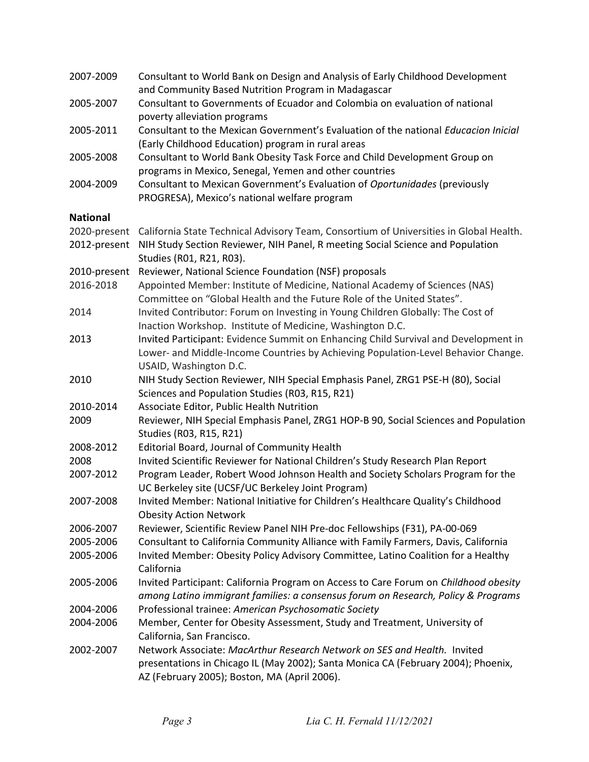| 2007-2009       | Consultant to World Bank on Design and Analysis of Early Childhood Development<br>and Community Based Nutrition Program in Madagascar |
|-----------------|---------------------------------------------------------------------------------------------------------------------------------------|
| 2005-2007       | Consultant to Governments of Ecuador and Colombia on evaluation of national                                                           |
|                 | poverty alleviation programs                                                                                                          |
| 2005-2011       | Consultant to the Mexican Government's Evaluation of the national Educacion Inicial                                                   |
|                 | (Early Childhood Education) program in rural areas                                                                                    |
| 2005-2008       | Consultant to World Bank Obesity Task Force and Child Development Group on                                                            |
|                 | programs in Mexico, Senegal, Yemen and other countries                                                                                |
| 2004-2009       | Consultant to Mexican Government's Evaluation of Oportunidades (previously                                                            |
|                 | PROGRESA), Mexico's national welfare program                                                                                          |
| <b>National</b> |                                                                                                                                       |
| 2020-present    | California State Technical Advisory Team, Consortium of Universities in Global Health.                                                |
| 2012-present    | NIH Study Section Reviewer, NIH Panel, R meeting Social Science and Population<br>Studies (R01, R21, R03).                            |
| 2010-present    | Reviewer, National Science Foundation (NSF) proposals                                                                                 |
| 2016-2018       | Appointed Member: Institute of Medicine, National Academy of Sciences (NAS)                                                           |
|                 | Committee on "Global Health and the Future Role of the United States".                                                                |
| 2014            | Invited Contributor: Forum on Investing in Young Children Globally: The Cost of                                                       |
|                 | Inaction Workshop. Institute of Medicine, Washington D.C.                                                                             |
| 2013            | Invited Participant: Evidence Summit on Enhancing Child Survival and Development in                                                   |
|                 | Lower- and Middle-Income Countries by Achieving Population-Level Behavior Change.                                                     |
|                 | USAID, Washington D.C.                                                                                                                |
| 2010            | NIH Study Section Reviewer, NIH Special Emphasis Panel, ZRG1 PSE-H (80), Social                                                       |
|                 | Sciences and Population Studies (R03, R15, R21)                                                                                       |
| 2010-2014       | Associate Editor, Public Health Nutrition                                                                                             |
| 2009            | Reviewer, NIH Special Emphasis Panel, ZRG1 HOP-B 90, Social Sciences and Population<br>Studies (R03, R15, R21)                        |
| 2008-2012       | Editorial Board, Journal of Community Health                                                                                          |
| 2008            | Invited Scientific Reviewer for National Children's Study Research Plan Report                                                        |
| 2007-2012       | Program Leader, Robert Wood Johnson Health and Society Scholars Program for the<br>UC Berkeley site (UCSF/UC Berkeley Joint Program)  |
| 2007-2008       | Invited Member: National Initiative for Children's Healthcare Quality's Childhood<br><b>Obesity Action Network</b>                    |
| 2006-2007       | Reviewer, Scientific Review Panel NIH Pre-doc Fellowships (F31), PA-00-069                                                            |
| 2005-2006       | Consultant to California Community Alliance with Family Farmers, Davis, California                                                    |
| 2005-2006       | Invited Member: Obesity Policy Advisory Committee, Latino Coalition for a Healthy<br>California                                       |
| 2005-2006       | Invited Participant: California Program on Access to Care Forum on Childhood obesity                                                  |
|                 | among Latino immigrant families: a consensus forum on Research, Policy & Programs                                                     |
| 2004-2006       | Professional trainee: American Psychosomatic Society                                                                                  |
| 2004-2006       | Member, Center for Obesity Assessment, Study and Treatment, University of<br>California, San Francisco.                               |
| 2002-2007       | Network Associate: MacArthur Research Network on SES and Health. Invited                                                              |
|                 | presentations in Chicago IL (May 2002); Santa Monica CA (February 2004); Phoenix,                                                     |
|                 | AZ (February 2005); Boston, MA (April 2006).                                                                                          |
|                 |                                                                                                                                       |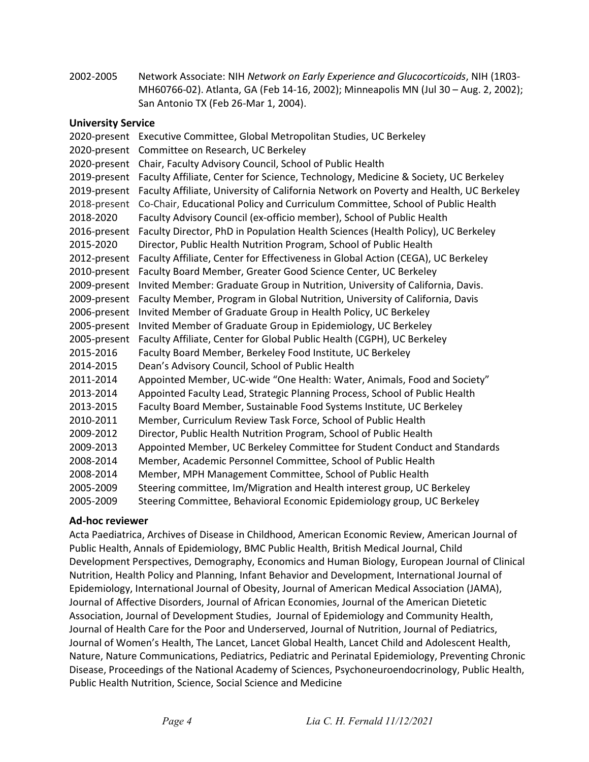2002-2005 Network Associate: NIH Network on Early Experience and Glucocorticoids, NIH (1R03- MH60766-02). Atlanta, GA (Feb 14-16, 2002); Minneapolis MN (Jul 30 – Aug. 2, 2002); San Antonio TX (Feb 26-Mar 1, 2004).

#### University Service

2020-present Executive Committee, Global Metropolitan Studies, UC Berkeley 2020-present Committee on Research, UC Berkeley 2020-present Chair, Faculty Advisory Council, School of Public Health 2019-present Faculty Affiliate, Center for Science, Technology, Medicine & Society, UC Berkeley 2019-present Faculty Affiliate, University of California Network on Poverty and Health, UC Berkeley 2018-present Co-Chair, Educational Policy and Curriculum Committee, School of Public Health 2018-2020 Faculty Advisory Council (ex-officio member), School of Public Health 2016-present Faculty Director, PhD in Population Health Sciences (Health Policy), UC Berkeley 2015-2020 Director, Public Health Nutrition Program, School of Public Health 2012-present Faculty Affiliate, Center for Effectiveness in Global Action (CEGA), UC Berkeley 2010-present Faculty Board Member, Greater Good Science Center, UC Berkeley 2009-present Invited Member: Graduate Group in Nutrition, University of California, Davis. 2009-present Faculty Member, Program in Global Nutrition, University of California, Davis 2006-present Invited Member of Graduate Group in Health Policy, UC Berkeley 2005-present Invited Member of Graduate Group in Epidemiology, UC Berkeley 2005-present Faculty Affiliate, Center for Global Public Health (CGPH), UC Berkeley 2015-2016 Faculty Board Member, Berkeley Food Institute, UC Berkeley 2014-2015 Dean's Advisory Council, School of Public Health 2011-2014 Appointed Member, UC-wide "One Health: Water, Animals, Food and Society" 2013-2014 Appointed Faculty Lead, Strategic Planning Process, School of Public Health 2013-2015 Faculty Board Member, Sustainable Food Systems Institute, UC Berkeley 2010-2011 Member, Curriculum Review Task Force, School of Public Health 2009-2012 Director, Public Health Nutrition Program, School of Public Health 2009-2013 Appointed Member, UC Berkeley Committee for Student Conduct and Standards 2008-2014 Member, Academic Personnel Committee, School of Public Health 2008-2014 Member, MPH Management Committee, School of Public Health 2005-2009 Steering committee, Im/Migration and Health interest group, UC Berkeley 2005-2009 Steering Committee, Behavioral Economic Epidemiology group, UC Berkeley

#### Ad-hoc reviewer

Acta Paediatrica, Archives of Disease in Childhood, American Economic Review, American Journal of Public Health, Annals of Epidemiology, BMC Public Health, British Medical Journal, Child Development Perspectives, Demography, Economics and Human Biology, European Journal of Clinical Nutrition, Health Policy and Planning, Infant Behavior and Development, International Journal of Epidemiology, International Journal of Obesity, Journal of American Medical Association (JAMA), Journal of Affective Disorders, Journal of African Economies, Journal of the American Dietetic Association, Journal of Development Studies, Journal of Epidemiology and Community Health, Journal of Health Care for the Poor and Underserved, Journal of Nutrition, Journal of Pediatrics, Journal of Women's Health, The Lancet, Lancet Global Health, Lancet Child and Adolescent Health, Nature, Nature Communications, Pediatrics, Pediatric and Perinatal Epidemiology, Preventing Chronic Disease, Proceedings of the National Academy of Sciences, Psychoneuroendocrinology, Public Health, Public Health Nutrition, Science, Social Science and Medicine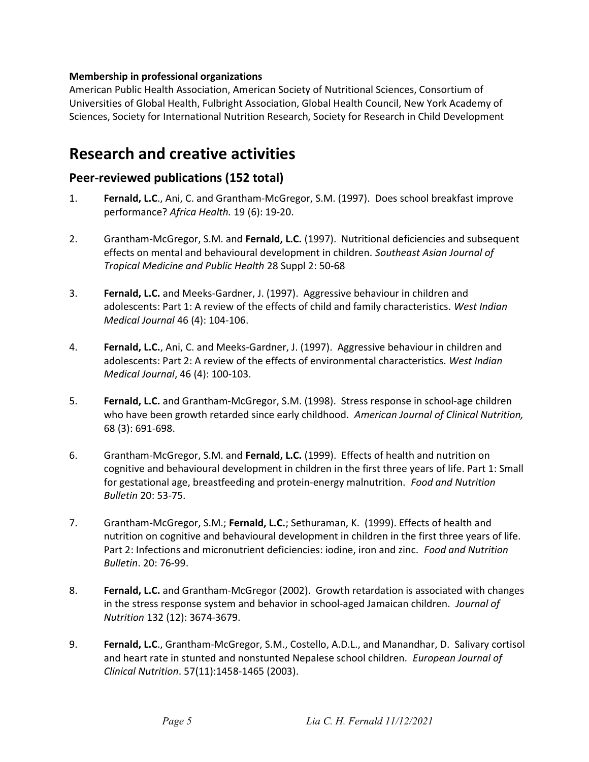#### Membership in professional organizations

American Public Health Association, American Society of Nutritional Sciences, Consortium of Universities of Global Health, Fulbright Association, Global Health Council, New York Academy of Sciences, Society for International Nutrition Research, Society for Research in Child Development

### Research and creative activities

### Peer-reviewed publications (152 total)

- 1. Fernald, L.C., Ani, C. and Grantham-McGregor, S.M. (1997). Does school breakfast improve performance? Africa Health. 19 (6): 19-20.
- 2. Grantham-McGregor, S.M. and Fernald, L.C. (1997). Nutritional deficiencies and subsequent effects on mental and behavioural development in children. Southeast Asian Journal of Tropical Medicine and Public Health 28 Suppl 2: 50-68
- 3. Fernald, L.C. and Meeks-Gardner, J. (1997). Aggressive behaviour in children and adolescents: Part 1: A review of the effects of child and family characteristics. West Indian Medical Journal 46 (4): 104-106.
- 4. Fernald, L.C., Ani, C. and Meeks-Gardner, J. (1997). Aggressive behaviour in children and adolescents: Part 2: A review of the effects of environmental characteristics. West Indian Medical Journal, 46 (4): 100-103.
- 5. Fernald, L.C. and Grantham-McGregor, S.M. (1998). Stress response in school-age children who have been growth retarded since early childhood. American Journal of Clinical Nutrition, 68 (3): 691-698.
- 6. Grantham-McGregor, S.M. and Fernald, L.C. (1999). Effects of health and nutrition on cognitive and behavioural development in children in the first three years of life. Part 1: Small for gestational age, breastfeeding and protein-energy malnutrition. Food and Nutrition Bulletin 20: 53-75.
- 7. Grantham-McGregor, S.M.; Fernald, L.C.; Sethuraman, K. (1999). Effects of health and nutrition on cognitive and behavioural development in children in the first three years of life. Part 2: Infections and micronutrient deficiencies: iodine, iron and zinc. Food and Nutrition Bulletin. 20: 76-99.
- 8. **Fernald, L.C.** and Grantham-McGregor (2002). Growth retardation is associated with changes in the stress response system and behavior in school-aged Jamaican children. Journal of Nutrition 132 (12): 3674-3679.
- 9. Fernald, L.C., Grantham-McGregor, S.M., Costello, A.D.L., and Manandhar, D. Salivary cortisol and heart rate in stunted and nonstunted Nepalese school children. European Journal of Clinical Nutrition. 57(11):1458-1465 (2003).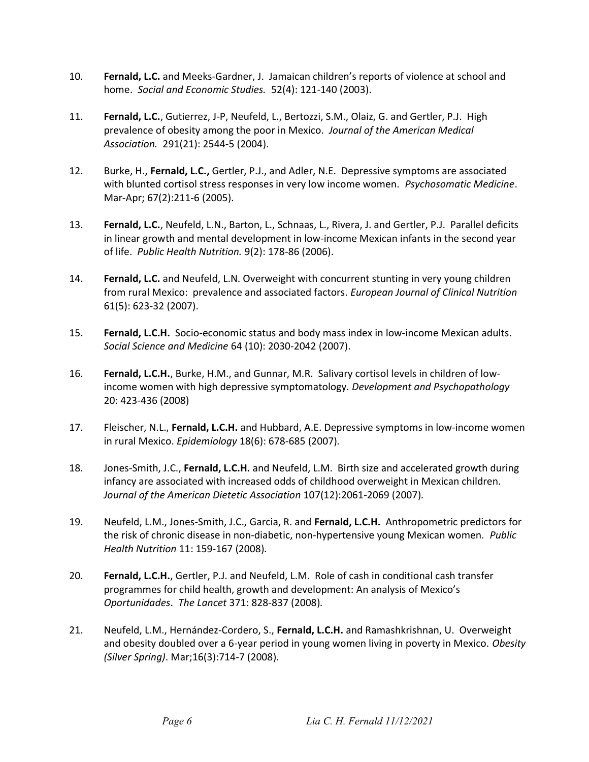- 10. Fernald, L.C. and Meeks-Gardner, J. Jamaican children's reports of violence at school and home. Social and Economic Studies. 52(4): 121-140 (2003).
- 11. Fernald, L.C., Gutierrez, J-P, Neufeld, L., Bertozzi, S.M., Olaiz, G. and Gertler, P.J. High prevalence of obesity among the poor in Mexico. Journal of the American Medical Association. 291(21): 2544-5 (2004).
- 12. Burke, H., Fernald, L.C., Gertler, P.J., and Adler, N.E. Depressive symptoms are associated with blunted cortisol stress responses in very low income women. Psychosomatic Medicine. Mar-Apr; 67(2):211-6 (2005).
- 13. Fernald, L.C., Neufeld, L.N., Barton, L., Schnaas, L., Rivera, J. and Gertler, P.J. Parallel deficits in linear growth and mental development in low-income Mexican infants in the second year of life. Public Health Nutrition. 9(2): 178-86 (2006).
- 14. Fernald, L.C. and Neufeld, L.N. Overweight with concurrent stunting in very young children from rural Mexico: prevalence and associated factors. *European Journal of Clinical Nutrition* 61(5): 623-32 (2007).
- 15. Fernald, L.C.H. Socio-economic status and body mass index in low-income Mexican adults. Social Science and Medicine 64 (10): 2030-2042 (2007).
- 16. Fernald, L.C.H., Burke, H.M., and Gunnar, M.R. Salivary cortisol levels in children of lowincome women with high depressive symptomatology. Development and Psychopathology 20: 423-436 (2008)
- 17. Fleischer, N.L., Fernald, L.C.H. and Hubbard, A.E. Depressive symptoms in low-income women in rural Mexico. Epidemiology 18(6): 678-685 (2007).
- 18. Jones-Smith, J.C., Fernald, L.C.H. and Neufeld, L.M. Birth size and accelerated growth during infancy are associated with increased odds of childhood overweight in Mexican children. Journal of the American Dietetic Association 107(12):2061-2069 (2007).
- 19. Neufeld, L.M., Jones-Smith, J.C., Garcia, R. and Fernald, L.C.H. Anthropometric predictors for the risk of chronic disease in non-diabetic, non-hypertensive young Mexican women. Public Health Nutrition 11: 159-167 (2008).
- 20. **Fernald, L.C.H.**, Gertler, P.J. and Neufeld, L.M. Role of cash in conditional cash transfer programmes for child health, growth and development: An analysis of Mexico's Oportunidades. The Lancet 371: 828-837 (2008).
- 21. Neufeld, L.M., Hernández-Cordero, S., Fernald, L.C.H. and Ramashkrishnan, U. Overweight and obesity doubled over a 6-year period in young women living in poverty in Mexico. Obesity (Silver Spring). Mar;16(3):714-7 (2008).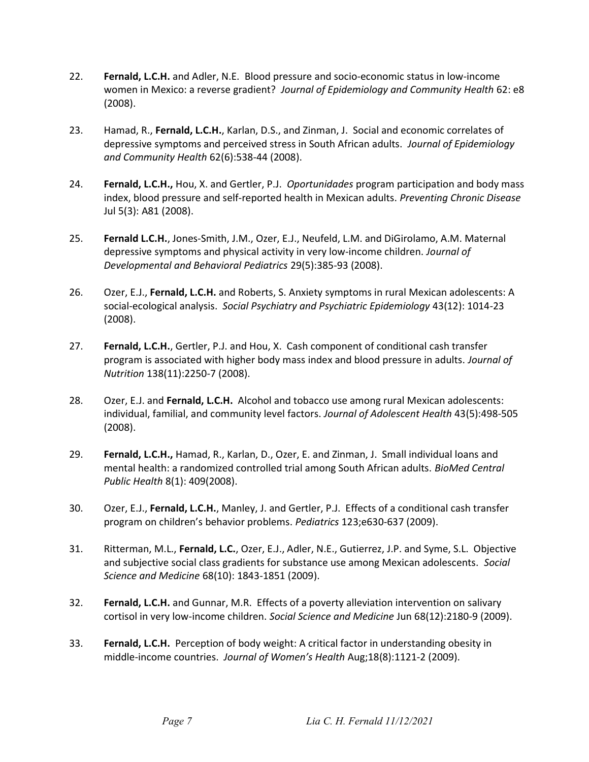- 22. Fernald, L.C.H. and Adler, N.E. Blood pressure and socio-economic status in low-income women in Mexico: a reverse gradient? Journal of Epidemiology and Community Health 62: e8 (2008).
- 23. Hamad, R., Fernald, L.C.H., Karlan, D.S., and Zinman, J. Social and economic correlates of depressive symptoms and perceived stress in South African adults. Journal of Epidemiology and Community Health 62(6):538-44 (2008).
- 24. Fernald, L.C.H., Hou, X. and Gertler, P.J. Oportunidades program participation and body mass index, blood pressure and self-reported health in Mexican adults. Preventing Chronic Disease Jul 5(3): A81 (2008).
- 25. Fernald L.C.H., Jones-Smith, J.M., Ozer, E.J., Neufeld, L.M. and DiGirolamo, A.M. Maternal depressive symptoms and physical activity in very low-income children. Journal of Developmental and Behavioral Pediatrics 29(5):385-93 (2008).
- 26. Ozer, E.J., Fernald, L.C.H. and Roberts, S. Anxiety symptoms in rural Mexican adolescents: A social-ecological analysis. Social Psychiatry and Psychiatric Epidemiology 43(12): 1014-23 (2008).
- 27. Fernald, L.C.H., Gertler, P.J. and Hou, X. Cash component of conditional cash transfer program is associated with higher body mass index and blood pressure in adults. Journal of Nutrition 138(11):2250-7 (2008).
- 28. Ozer, E.J. and Fernald, L.C.H. Alcohol and tobacco use among rural Mexican adolescents: individual, familial, and community level factors. Journal of Adolescent Health 43(5):498-505 (2008).
- 29. Fernald, L.C.H., Hamad, R., Karlan, D., Ozer, E. and Zinman, J. Small individual loans and mental health: a randomized controlled trial among South African adults. BioMed Central Public Health 8(1): 409(2008).
- 30. Ozer, E.J., Fernald, L.C.H., Manley, J. and Gertler, P.J. Effects of a conditional cash transfer program on children's behavior problems. Pediatrics 123;e630-637 (2009).
- 31. Ritterman, M.L., Fernald, L.C., Ozer, E.J., Adler, N.E., Gutierrez, J.P. and Syme, S.L. Objective and subjective social class gradients for substance use among Mexican adolescents. Social Science and Medicine 68(10): 1843-1851 (2009).
- 32. Fernald, L.C.H. and Gunnar, M.R. Effects of a poverty alleviation intervention on salivary cortisol in very low-income children. Social Science and Medicine Jun 68(12):2180-9 (2009).
- 33. **Fernald, L.C.H.** Perception of body weight: A critical factor in understanding obesity in middle-income countries. Journal of Women's Health Aug;18(8):1121-2 (2009).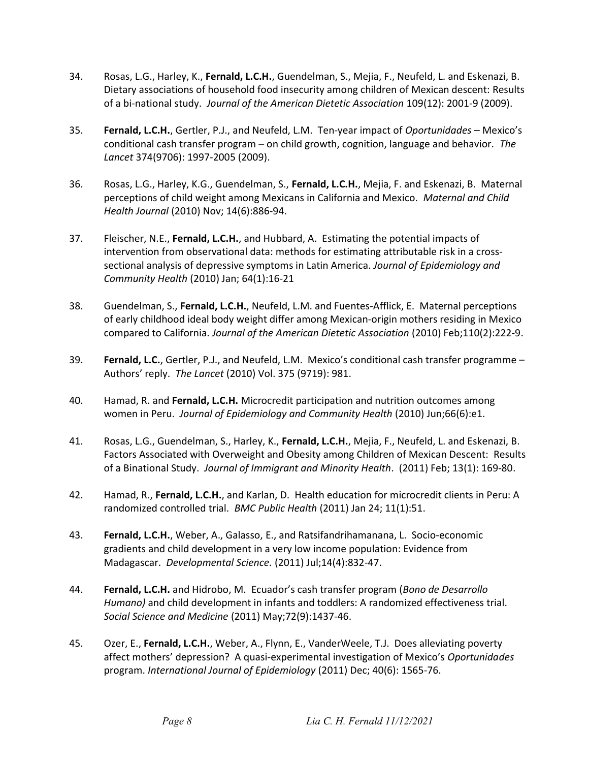- 34. Rosas, L.G., Harley, K., Fernald, L.C.H., Guendelman, S., Mejia, F., Neufeld, L. and Eskenazi, B. Dietary associations of household food insecurity among children of Mexican descent: Results of a bi-national study. Journal of the American Dietetic Association 109(12): 2001-9 (2009).
- 35. Fernald, L.C.H., Gertler, P.J., and Neufeld, L.M. Ten-year impact of Oportunidades Mexico's conditional cash transfer program – on child growth, cognition, language and behavior. The Lancet 374(9706): 1997-2005 (2009).
- 36. Rosas, L.G., Harley, K.G., Guendelman, S., Fernald, L.C.H., Mejia, F. and Eskenazi, B. Maternal perceptions of child weight among Mexicans in California and Mexico. Maternal and Child Health Journal (2010) Nov; 14(6):886-94.
- 37. Fleischer, N.E., Fernald, L.C.H., and Hubbard, A. Estimating the potential impacts of intervention from observational data: methods for estimating attributable risk in a crosssectional analysis of depressive symptoms in Latin America. Journal of Epidemiology and Community Health (2010) Jan; 64(1):16-21
- 38. Guendelman, S., Fernald, L.C.H., Neufeld, L.M. and Fuentes-Afflick, E. Maternal perceptions of early childhood ideal body weight differ among Mexican-origin mothers residing in Mexico compared to California. Journal of the American Dietetic Association (2010) Feb;110(2):222-9.
- 39. Fernald, L.C., Gertler, P.J., and Neufeld, L.M. Mexico's conditional cash transfer programme -Authors' reply. The Lancet (2010) Vol. 375 (9719): 981.
- 40. Hamad, R. and Fernald, L.C.H. Microcredit participation and nutrition outcomes among women in Peru. Journal of Epidemiology and Community Health (2010) Jun;66(6):e1.
- 41. Rosas, L.G., Guendelman, S., Harley, K., Fernald, L.C.H., Mejia, F., Neufeld, L. and Eskenazi, B. Factors Associated with Overweight and Obesity among Children of Mexican Descent: Results of a Binational Study. Journal of Immigrant and Minority Health. (2011) Feb; 13(1): 169-80.
- 42. Hamad, R., Fernald, L.C.H., and Karlan, D. Health education for microcredit clients in Peru: A randomized controlled trial. BMC Public Health (2011) Jan 24; 11(1):51.
- 43. Fernald, L.C.H., Weber, A., Galasso, E., and Ratsifandrihamanana, L. Socio-economic gradients and child development in a very low income population: Evidence from Madagascar. Developmental Science. (2011) Jul;14(4):832-47.
- 44. **Fernald, L.C.H.** and Hidrobo, M. Ecuador's cash transfer program (*Bono de Desarrollo* Humano) and child development in infants and toddlers: A randomized effectiveness trial. Social Science and Medicine (2011) May;72(9):1437-46.
- 45. Ozer, E., Fernald, L.C.H., Weber, A., Flynn, E., VanderWeele, T.J. Does alleviating poverty affect mothers' depression? A quasi-experimental investigation of Mexico's Oportunidades program. International Journal of Epidemiology (2011) Dec; 40(6): 1565-76.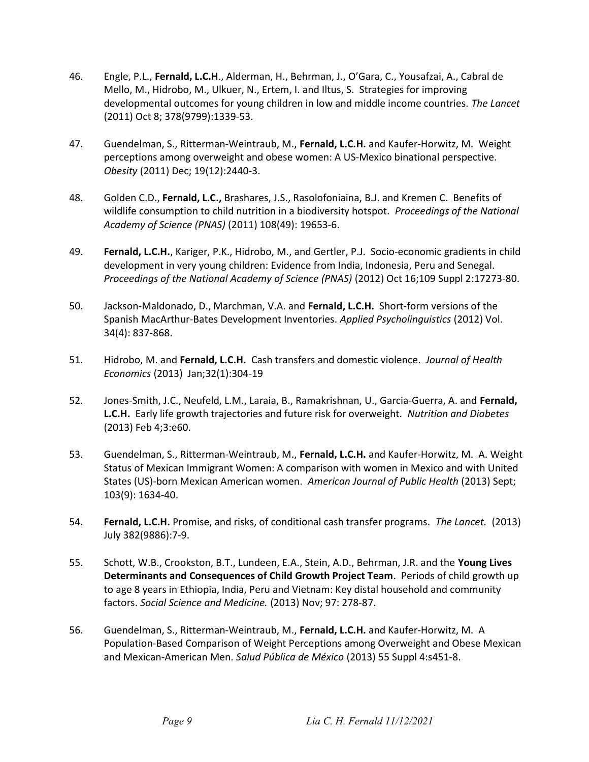- 46. Engle, P.L., Fernald, L.C.H., Alderman, H., Behrman, J., O'Gara, C., Yousafzai, A., Cabral de Mello, M., Hidrobo, M., Ulkuer, N., Ertem, I. and Iltus, S. Strategies for improving developmental outcomes for young children in low and middle income countries. The Lancet (2011) Oct 8; 378(9799):1339-53.
- 47. Guendelman, S., Ritterman-Weintraub, M., Fernald, L.C.H. and Kaufer-Horwitz, M. Weight perceptions among overweight and obese women: A US-Mexico binational perspective. Obesity (2011) Dec; 19(12):2440-3.
- 48. Golden C.D., Fernald, L.C., Brashares, J.S., Rasolofoniaina, B.J. and Kremen C. Benefits of wildlife consumption to child nutrition in a biodiversity hotspot. Proceedings of the National Academy of Science (PNAS) (2011) 108(49): 19653-6.
- 49. Fernald, L.C.H., Kariger, P.K., Hidrobo, M., and Gertler, P.J. Socio-economic gradients in child development in very young children: Evidence from India, Indonesia, Peru and Senegal. Proceedings of the National Academy of Science (PNAS) (2012) Oct 16;109 Suppl 2:17273-80.
- 50. Jackson-Maldonado, D., Marchman, V.A. and Fernald, L.C.H. Short-form versions of the Spanish MacArthur-Bates Development Inventories. Applied Psycholinguistics (2012) Vol. 34(4): 837-868.
- 51. Hidrobo, M. and Fernald, L.C.H. Cash transfers and domestic violence. Journal of Health Economics (2013) Jan;32(1):304-19
- 52. Jones-Smith, J.C., Neufeld, L.M., Laraia, B., Ramakrishnan, U., Garcia-Guerra, A. and Fernald, L.C.H. Early life growth trajectories and future risk for overweight. Nutrition and Diabetes (2013) Feb 4;3:e60.
- 53. Guendelman, S., Ritterman-Weintraub, M., Fernald, L.C.H. and Kaufer-Horwitz, M. A. Weight Status of Mexican Immigrant Women: A comparison with women in Mexico and with United States (US)-born Mexican American women. American Journal of Public Health (2013) Sept; 103(9): 1634-40.
- 54. **Fernald, L.C.H.** Promise, and risks, of conditional cash transfer programs. The Lancet. (2013) July 382(9886):7-9.
- 55. Schott, W.B., Crookston, B.T., Lundeen, E.A., Stein, A.D., Behrman, J.R. and the Young Lives Determinants and Consequences of Child Growth Project Team. Periods of child growth up to age 8 years in Ethiopia, India, Peru and Vietnam: Key distal household and community factors. Social Science and Medicine. (2013) Nov; 97: 278-87.
- 56. Guendelman, S., Ritterman-Weintraub, M., Fernald, L.C.H. and Kaufer-Horwitz, M. A Population-Based Comparison of Weight Perceptions among Overweight and Obese Mexican and Mexican-American Men. Salud Pública de México (2013) 55 Suppl 4:s451-8.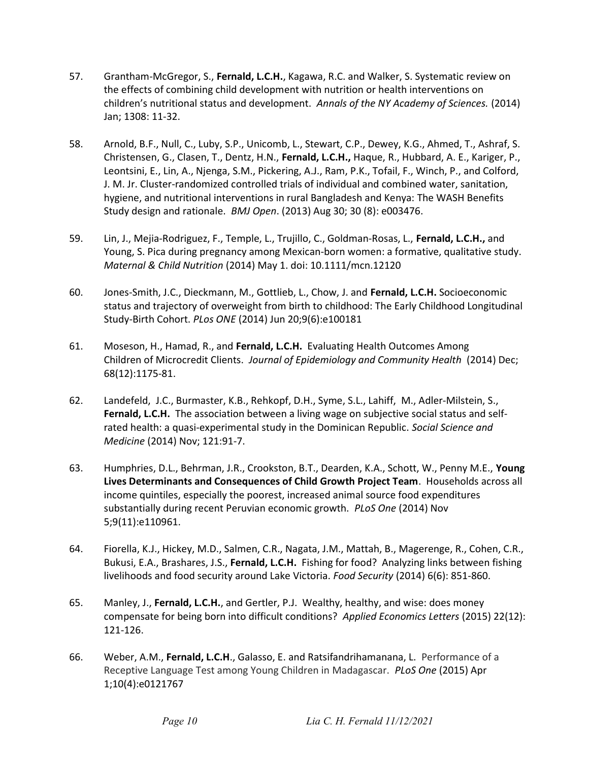- 57. Grantham-McGregor, S., Fernald, L.C.H., Kagawa, R.C. and Walker, S. Systematic review on the effects of combining child development with nutrition or health interventions on children's nutritional status and development. Annals of the NY Academy of Sciences. (2014) Jan; 1308: 11-32.
- 58. Arnold, B.F., Null, C., Luby, S.P., Unicomb, L., Stewart, C.P., Dewey, K.G., Ahmed, T., Ashraf, S. Christensen, G., Clasen, T., Dentz, H.N., Fernald, L.C.H., Haque, R., Hubbard, A. E., Kariger, P., Leontsini, E., Lin, A., Njenga, S.M., Pickering, A.J., Ram, P.K., Tofail, F., Winch, P., and Colford, J. M. Jr. Cluster-randomized controlled trials of individual and combined water, sanitation, hygiene, and nutritional interventions in rural Bangladesh and Kenya: The WASH Benefits Study design and rationale. BMJ Open. (2013) Aug 30; 30 (8): e003476.
- 59. Lin, J., Mejia-Rodriguez, F., Temple, L., Trujillo, C., Goldman-Rosas, L., Fernald, L.C.H., and Young, S. Pica during pregnancy among Mexican-born women: a formative, qualitative study. Maternal & Child Nutrition (2014) May 1. doi: 10.1111/mcn.12120
- 60. Jones-Smith, J.C., Dieckmann, M., Gottlieb, L., Chow, J. and Fernald, L.C.H. Socioeconomic status and trajectory of overweight from birth to childhood: The Early Childhood Longitudinal Study-Birth Cohort. PLos ONE (2014) Jun 20;9(6):e100181
- 61. Moseson, H., Hamad, R., and Fernald, L.C.H. Evaluating Health Outcomes Among Children of Microcredit Clients. Journal of Epidemiology and Community Health (2014) Dec; 68(12):1175-81.
- 62. Landefeld, J.C., Burmaster, K.B., Rehkopf, D.H., Syme, S.L., Lahiff, M., Adler-Milstein, S., Fernald, L.C.H. The association between a living wage on subjective social status and selfrated health: a quasi-experimental study in the Dominican Republic. Social Science and Medicine (2014) Nov; 121:91-7.
- 63. Humphries, D.L., Behrman, J.R., Crookston, B.T., Dearden, K.A., Schott, W., Penny M.E., Young Lives Determinants and Consequences of Child Growth Project Team. Households across all income quintiles, especially the poorest, increased animal source food expenditures substantially during recent Peruvian economic growth. PLoS One (2014) Nov 5;9(11):e110961.
- 64. Fiorella, K.J., Hickey, M.D., Salmen, C.R., Nagata, J.M., Mattah, B., Magerenge, R., Cohen, C.R., Bukusi, E.A., Brashares, J.S., Fernald, L.C.H. Fishing for food? Analyzing links between fishing livelihoods and food security around Lake Victoria. Food Security (2014) 6(6): 851-860.
- 65. Manley, J., Fernald, L.C.H., and Gertler, P.J. Wealthy, healthy, and wise: does money compensate for being born into difficult conditions? Applied Economics Letters (2015) 22(12): 121-126.
- 66. Weber, A.M., Fernald, L.C.H., Galasso, E. and Ratsifandrihamanana, L. Performance of a Receptive Language Test among Young Children in Madagascar. PLoS One (2015) Apr 1;10(4):e0121767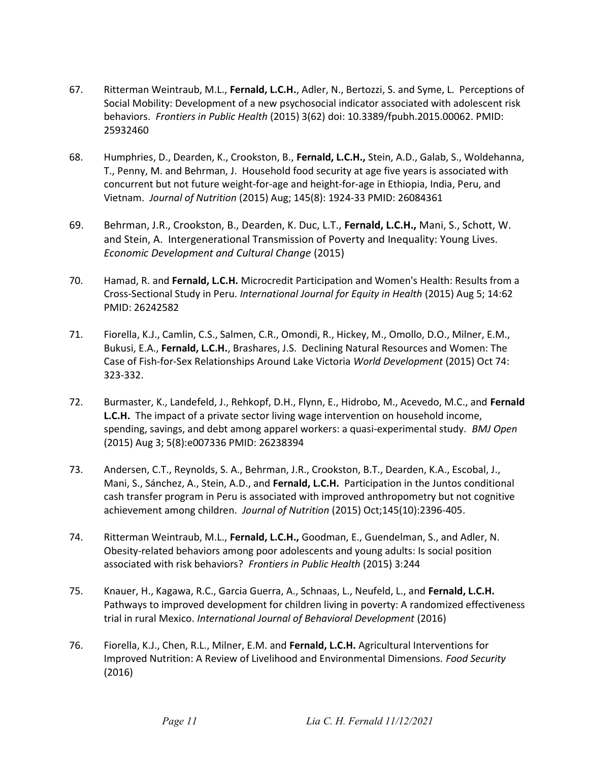- 67. Ritterman Weintraub, M.L., Fernald, L.C.H., Adler, N., Bertozzi, S. and Syme, L. Perceptions of Social Mobility: Development of a new psychosocial indicator associated with adolescent risk behaviors. Frontiers in Public Health (2015) 3(62) doi: 10.3389/fpubh.2015.00062. PMID: 25932460
- 68. Humphries, D., Dearden, K., Crookston, B., Fernald, L.C.H., Stein, A.D., Galab, S., Woldehanna, T., Penny, M. and Behrman, J. Household food security at age five years is associated with concurrent but not future weight-for-age and height-for-age in Ethiopia, India, Peru, and Vietnam. Journal of Nutrition (2015) Aug; 145(8): 1924-33 PMID: 26084361
- 69. Behrman, J.R., Crookston, B., Dearden, K. Duc, L.T., Fernald, L.C.H., Mani, S., Schott, W. and Stein, A. Intergenerational Transmission of Poverty and Inequality: Young Lives. Economic Development and Cultural Change (2015)
- 70. Hamad, R. and Fernald, L.C.H. Microcredit Participation and Women's Health: Results from a Cross-Sectional Study in Peru. International Journal for Equity in Health (2015) Aug 5; 14:62 PMID: 26242582
- 71. Fiorella, K.J., Camlin, C.S., Salmen, C.R., Omondi, R., Hickey, M., Omollo, D.O., Milner, E.M., Bukusi, E.A., Fernald, L.C.H., Brashares, J.S. Declining Natural Resources and Women: The Case of Fish-for-Sex Relationships Around Lake Victoria World Development (2015) Oct 74: 323-332.
- 72. Burmaster, K., Landefeld, J., Rehkopf, D.H., Flynn, E., Hidrobo, M., Acevedo, M.C., and Fernald L.C.H. The impact of a private sector living wage intervention on household income, spending, savings, and debt among apparel workers: a quasi-experimental study. *BMJ Open* (2015) Aug 3; 5(8):e007336 PMID: 26238394
- 73. Andersen, C.T., Reynolds, S. A., Behrman, J.R., Crookston, B.T., Dearden, K.A., Escobal, J., Mani, S., Sánchez, A., Stein, A.D., and Fernald, L.C.H. Participation in the Juntos conditional cash transfer program in Peru is associated with improved anthropometry but not cognitive achievement among children. Journal of Nutrition (2015) Oct;145(10):2396-405.
- 74. Ritterman Weintraub, M.L., Fernald, L.C.H., Goodman, E., Guendelman, S., and Adler, N. Obesity-related behaviors among poor adolescents and young adults: Is social position associated with risk behaviors? Frontiers in Public Health (2015) 3:244
- 75. Knauer, H., Kagawa, R.C., Garcia Guerra, A., Schnaas, L., Neufeld, L., and Fernald, L.C.H. Pathways to improved development for children living in poverty: A randomized effectiveness trial in rural Mexico. International Journal of Behavioral Development (2016)
- 76. Fiorella, K.J., Chen, R.L., Milner, E.M. and Fernald, L.C.H. Agricultural Interventions for Improved Nutrition: A Review of Livelihood and Environmental Dimensions. Food Security (2016)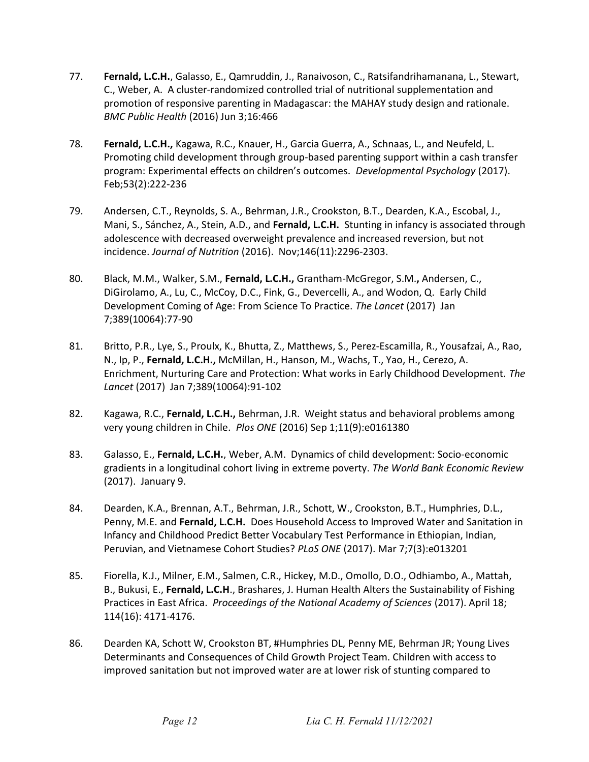- 77. Fernald, L.C.H., Galasso, E., Qamruddin, J., Ranaivoson, C., Ratsifandrihamanana, L., Stewart, C., Weber, A. A cluster-randomized controlled trial of nutritional supplementation and promotion of responsive parenting in Madagascar: the MAHAY study design and rationale. BMC Public Health (2016) Jun 3;16:466
- 78. Fernald, L.C.H., Kagawa, R.C., Knauer, H., Garcia Guerra, A., Schnaas, L., and Neufeld, L. Promoting child development through group-based parenting support within a cash transfer program: Experimental effects on children's outcomes. Developmental Psychology (2017). Feb;53(2):222-236
- 79. Andersen, C.T., Reynolds, S. A., Behrman, J.R., Crookston, B.T., Dearden, K.A., Escobal, J., Mani, S., Sánchez, A., Stein, A.D., and Fernald, L.C.H. Stunting in infancy is associated through adolescence with decreased overweight prevalence and increased reversion, but not incidence. Journal of Nutrition (2016). Nov;146(11):2296-2303.
- 80. Black, M.M., Walker, S.M., Fernald, L.C.H., Grantham-McGregor, S.M., Andersen, C., DiGirolamo, A., Lu, C., McCoy, D.C., Fink, G., Devercelli, A., and Wodon, Q. Early Child Development Coming of Age: From Science To Practice. The Lancet (2017) Jan 7;389(10064):77-90
- 81. Britto, P.R., Lye, S., Proulx, K., Bhutta, Z., Matthews, S., Perez-Escamilla, R., Yousafzai, A., Rao, N., Ip, P., Fernald, L.C.H., McMillan, H., Hanson, M., Wachs, T., Yao, H., Cerezo, A. Enrichment, Nurturing Care and Protection: What works in Early Childhood Development. The Lancet (2017) Jan 7;389(10064):91-102
- 82. Kagawa, R.C., Fernald, L.C.H., Behrman, J.R. Weight status and behavioral problems among very young children in Chile. Plos ONE (2016) Sep 1;11(9):e0161380
- 83. Galasso, E., Fernald, L.C.H., Weber, A.M. Dynamics of child development: Socio-economic gradients in a longitudinal cohort living in extreme poverty. The World Bank Economic Review (2017). January 9.
- 84. Dearden, K.A., Brennan, A.T., Behrman, J.R., Schott, W., Crookston, B.T., Humphries, D.L., Penny, M.E. and Fernald, L.C.H. Does Household Access to Improved Water and Sanitation in Infancy and Childhood Predict Better Vocabulary Test Performance in Ethiopian, Indian, Peruvian, and Vietnamese Cohort Studies? PLoS ONE (2017). Mar 7;7(3):e013201
- 85. Fiorella, K.J., Milner, E.M., Salmen, C.R., Hickey, M.D., Omollo, D.O., Odhiambo, A., Mattah, B., Bukusi, E., Fernald, L.C.H., Brashares, J. Human Health Alters the Sustainability of Fishing Practices in East Africa. Proceedings of the National Academy of Sciences (2017). April 18; 114(16): 4171-4176.
- 86. Dearden KA, Schott W, Crookston BT, #Humphries DL, Penny ME, Behrman JR; Young Lives Determinants and Consequences of Child Growth Project Team. Children with access to improved sanitation but not improved water are at lower risk of stunting compared to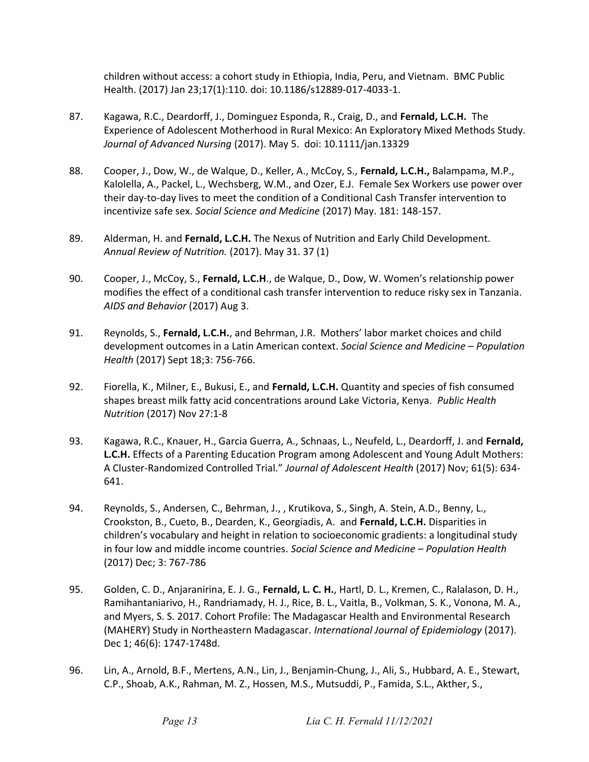children without access: a cohort study in Ethiopia, India, Peru, and Vietnam. BMC Public Health. (2017) Jan 23;17(1):110. doi: 10.1186/s12889-017-4033-1.

- 87. Kagawa, R.C., Deardorff, J., Dominguez Esponda, R., Craig, D., and Fernald, L.C.H. The Experience of Adolescent Motherhood in Rural Mexico: An Exploratory Mixed Methods Study. Journal of Advanced Nursing (2017). May 5. doi: 10.1111/jan.13329
- 88. Cooper, J., Dow, W., de Walque, D., Keller, A., McCoy, S., Fernald, L.C.H., Balampama, M.P., Kalolella, A., Packel, L., Wechsberg, W.M., and Ozer, E.J. Female Sex Workers use power over their day-to-day lives to meet the condition of a Conditional Cash Transfer intervention to incentivize safe sex. Social Science and Medicine (2017) May. 181: 148-157.
- 89. Alderman, H. and Fernald, L.C.H. The Nexus of Nutrition and Early Child Development. Annual Review of Nutrition. (2017). May 31. 37 (1)
- 90. Cooper, J., McCoy, S., Fernald, L.C.H., de Walque, D., Dow, W. Women's relationship power modifies the effect of a conditional cash transfer intervention to reduce risky sex in Tanzania. AIDS and Behavior (2017) Aug 3.
- 91. Reynolds, S., Fernald, L.C.H., and Behrman, J.R. Mothers' labor market choices and child development outcomes in a Latin American context. Social Science and Medicine - Population Health (2017) Sept 18;3: 756-766.
- 92. Fiorella, K., Milner, E., Bukusi, E., and Fernald, L.C.H. Quantity and species of fish consumed shapes breast milk fatty acid concentrations around Lake Victoria, Kenya. Public Health Nutrition (2017) Nov 27:1-8
- 93. Kagawa, R.C., Knauer, H., Garcia Guerra, A., Schnaas, L., Neufeld, L., Deardorff, J. and Fernald, L.C.H. Effects of a Parenting Education Program among Adolescent and Young Adult Mothers: A Cluster-Randomized Controlled Trial." Journal of Adolescent Health (2017) Nov; 61(5): 634- 641.
- 94. Reynolds, S., Andersen, C., Behrman, J., , Krutikova, S., Singh, A. Stein, A.D., Benny, L., Crookston, B., Cueto, B., Dearden, K., Georgiadis, A. and Fernald, L.C.H. Disparities in children's vocabulary and height in relation to socioeconomic gradients: a longitudinal study in four low and middle income countries. Social Science and Medicine – Population Health (2017) Dec; 3: 767-786
- 95. Golden, C. D., Anjaranirina, E. J. G., Fernald, L. C. H., Hartl, D. L., Kremen, C., Ralalason, D. H., Ramihantaniarivo, H., Randriamady, H. J., Rice, B. L., Vaitla, B., Volkman, S. K., Vonona, M. A., and Myers, S. S. 2017. Cohort Profile: The Madagascar Health and Environmental Research (MAHERY) Study in Northeastern Madagascar. International Journal of Epidemiology (2017). Dec 1; 46(6): 1747-1748d.
- 96. Lin, A., Arnold, B.F., Mertens, A.N., Lin, J., Benjamin-Chung, J., Ali, S., Hubbard, A. E., Stewart, C.P., Shoab, A.K., Rahman, M. Z., Hossen, M.S., Mutsuddi, P., Famida, S.L., Akther, S.,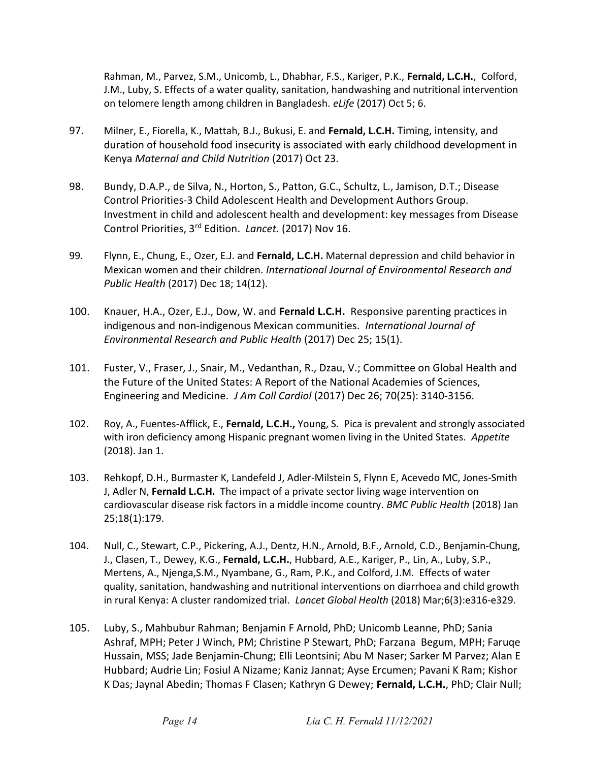Rahman, M., Parvez, S.M., Unicomb, L., Dhabhar, F.S., Kariger, P.K., Fernald, L.C.H., Colford, J.M., Luby, S. Effects of a water quality, sanitation, handwashing and nutritional intervention on telomere length among children in Bangladesh. eLife (2017) Oct 5; 6.

- 97. Milner, E., Fiorella, K., Mattah, B.J., Bukusi, E. and Fernald, L.C.H. Timing, intensity, and duration of household food insecurity is associated with early childhood development in Kenya Maternal and Child Nutrition (2017) Oct 23.
- 98. Bundy, D.A.P., de Silva, N., Horton, S., Patton, G.C., Schultz, L., Jamison, D.T.; Disease Control Priorities-3 Child Adolescent Health and Development Authors Group. Investment in child and adolescent health and development: key messages from Disease Control Priorities, 3<sup>rd</sup> Edition. Lancet. (2017) Nov 16.
- 99. Flynn, E., Chung, E., Ozer, E.J. and Fernald, L.C.H. Maternal depression and child behavior in Mexican women and their children. International Journal of Environmental Research and Public Health (2017) Dec 18; 14(12).
- 100. Knauer, H.A., Ozer, E.J., Dow, W. and Fernald L.C.H. Responsive parenting practices in indigenous and non-indigenous Mexican communities. International Journal of Environmental Research and Public Health (2017) Dec 25; 15(1).
- 101. Fuster, V., Fraser, J., Snair, M., Vedanthan, R., Dzau, V.; Committee on Global Health and the Future of the United States: A Report of the National Academies of Sciences, Engineering and Medicine. J Am Coll Cardiol (2017) Dec 26; 70(25): 3140-3156.
- 102. Roy, A., Fuentes-Afflick, E., Fernald, L.C.H., Young, S. Pica is prevalent and strongly associated with iron deficiency among Hispanic pregnant women living in the United States. Appetite (2018). Jan 1.
- 103. Rehkopf, D.H., Burmaster K, Landefeld J, Adler-Milstein S, Flynn E, Acevedo MC, Jones-Smith J, Adler N, Fernald L.C.H. The impact of a private sector living wage intervention on cardiovascular disease risk factors in a middle income country. BMC Public Health (2018) Jan 25;18(1):179.
- 104. Null, C., Stewart, C.P., Pickering, A.J., Dentz, H.N., Arnold, B.F., Arnold, C.D., Benjamin-Chung, J., Clasen, T., Dewey, K.G., Fernald, L.C.H., Hubbard, A.E., Kariger, P., Lin, A., Luby, S.P., Mertens, A., Njenga,S.M., Nyambane, G., Ram, P.K., and Colford, J.M. Effects of water quality, sanitation, handwashing and nutritional interventions on diarrhoea and child growth in rural Kenya: A cluster randomized trial. Lancet Global Health (2018) Mar;6(3):e316-e329.
- 105. Luby, S., Mahbubur Rahman; Benjamin F Arnold, PhD; Unicomb Leanne, PhD; Sania Ashraf, MPH; Peter J Winch, PM; Christine P Stewart, PhD; Farzana Begum, MPH; Faruqe Hussain, MSS; Jade Benjamin-Chung; Elli Leontsini; Abu M Naser; Sarker M Parvez; Alan E Hubbard; Audrie Lin; Fosiul A Nizame; Kaniz Jannat; Ayse Ercumen; Pavani K Ram; Kishor K Das; Jaynal Abedin; Thomas F Clasen; Kathryn G Dewey; Fernald, L.C.H., PhD; Clair Null;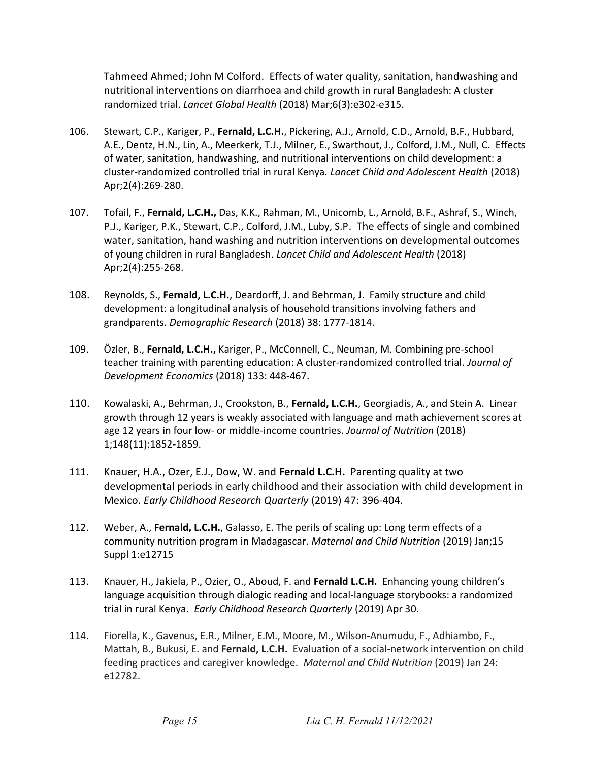Tahmeed Ahmed; John M Colford. Effects of water quality, sanitation, handwashing and nutritional interventions on diarrhoea and child growth in rural Bangladesh: A cluster randomized trial. Lancet Global Health (2018) Mar;6(3):e302-e315.

- 106. Stewart, C.P., Kariger, P., Fernald, L.C.H., Pickering, A.J., Arnold, C.D., Arnold, B.F., Hubbard, A.E., Dentz, H.N., Lin, A., Meerkerk, T.J., Milner, E., Swarthout, J., Colford, J.M., Null, C. Effects of water, sanitation, handwashing, and nutritional interventions on child development: a cluster-randomized controlled trial in rural Kenya. Lancet Child and Adolescent Health (2018) Apr;2(4):269-280.
- 107. Tofail, F., Fernald, L.C.H., Das, K.K., Rahman, M., Unicomb, L., Arnold, B.F., Ashraf, S., Winch, P.J., Kariger, P.K., Stewart, C.P., Colford, J.M., Luby, S.P. The effects of single and combined water, sanitation, hand washing and nutrition interventions on developmental outcomes of young children in rural Bangladesh. Lancet Child and Adolescent Health (2018) Apr;2(4):255-268.
- 108. Reynolds, S., Fernald, L.C.H., Deardorff, J. and Behrman, J. Family structure and child development: a longitudinal analysis of household transitions involving fathers and grandparents. Demographic Research (2018) 38: 1777-1814.
- 109. Özler, B., Fernald, L.C.H., Kariger, P., McConnell, C., Neuman, M. Combining pre-school teacher training with parenting education: A cluster-randomized controlled trial. Journal of Development Economics (2018) 133: 448-467.
- 110. Kowalaski, A., Behrman, J., Crookston, B., Fernald, L.C.H., Georgiadis, A., and Stein A. Linear growth through 12 years is weakly associated with language and math achievement scores at age 12 years in four low- or middle-income countries. Journal of Nutrition (2018) 1;148(11):1852-1859.
- 111. Knauer, H.A., Ozer, E.J., Dow, W. and Fernald L.C.H. Parenting quality at two developmental periods in early childhood and their association with child development in Mexico. Early Childhood Research Quarterly (2019) 47: 396-404.
- 112. Weber, A., Fernald, L.C.H., Galasso, E. The perils of scaling up: Long term effects of a community nutrition program in Madagascar. Maternal and Child Nutrition (2019) Jan;15 Suppl 1:e12715
- 113. Knauer, H., Jakiela, P., Ozier, O., Aboud, F. and Fernald L.C.H. Enhancing young children's language acquisition through dialogic reading and local-language storybooks: a randomized trial in rural Kenya. Early Childhood Research Quarterly (2019) Apr 30.
- 114. Fiorella, K., Gavenus, E.R., Milner, E.M., Moore, M., Wilson-Anumudu, F., Adhiambo, F., Mattah, B., Bukusi, E. and Fernald, L.C.H. Evaluation of a social-network intervention on child feeding practices and caregiver knowledge. Maternal and Child Nutrition (2019) Jan 24: e12782.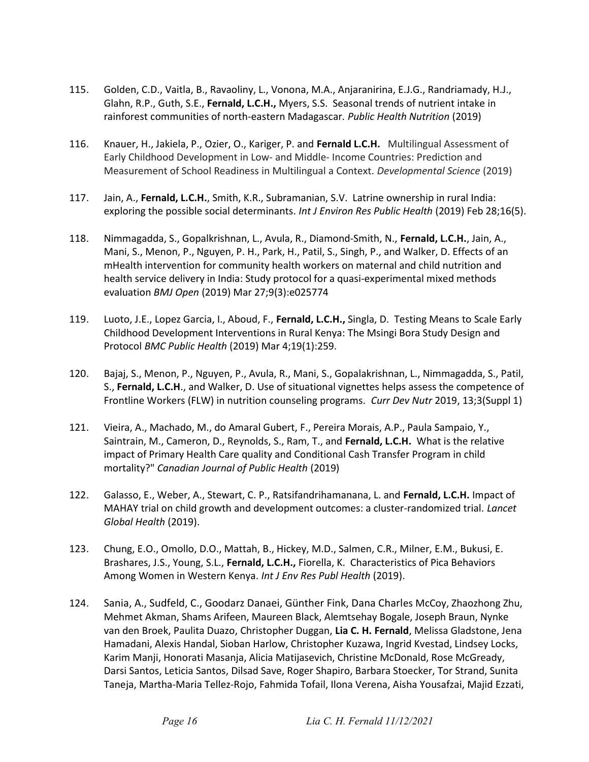- 115. Golden, C.D., Vaitla, B., Ravaoliny, L., Vonona, M.A., Anjaranirina, E.J.G., Randriamady, H.J., Glahn, R.P., Guth, S.E., Fernald, L.C.H., Myers, S.S. Seasonal trends of nutrient intake in rainforest communities of north-eastern Madagascar. Public Health Nutrition (2019)
- 116. Knauer, H., Jakiela, P., Ozier, O., Kariger, P. and Fernald L.C.H. Multilingual Assessment of Early Childhood Development in Low- and Middle- Income Countries: Prediction and Measurement of School Readiness in Multilingual a Context. Developmental Science (2019)
- 117. Jain, A., Fernald, L.C.H., Smith, K.R., Subramanian, S.V. Latrine ownership in rural India: exploring the possible social determinants. Int J Environ Res Public Health (2019) Feb 28;16(5).
- 118. Nimmagadda, S., Gopalkrishnan, L., Avula, R., Diamond-Smith, N., Fernald, L.C.H., Jain, A., Mani, S., Menon, P., Nguyen, P. H., Park, H., Patil, S., Singh, P., and Walker, D. Effects of an mHealth intervention for community health workers on maternal and child nutrition and health service delivery in India: Study protocol for a quasi-experimental mixed methods evaluation BMJ Open (2019) Mar 27;9(3):e025774
- 119. Luoto, J.E., Lopez Garcia, I., Aboud, F., Fernald, L.C.H., Singla, D. Testing Means to Scale Early Childhood Development Interventions in Rural Kenya: The Msingi Bora Study Design and Protocol BMC Public Health (2019) Mar 4;19(1):259.
- 120. Bajaj, S., Menon, P., Nguyen, P., Avula, R., Mani, S., Gopalakrishnan, L., Nimmagadda, S., Patil, S., Fernald, L.C.H., and Walker, D. Use of situational vignettes helps assess the competence of Frontline Workers (FLW) in nutrition counseling programs. Curr Dev Nutr 2019, 13;3(Suppl 1)
- 121. Vieira, A., Machado, M., do Amaral Gubert, F., Pereira Morais, A.P., Paula Sampaio, Y., Saintrain, M., Cameron, D., Reynolds, S., Ram, T., and Fernald, L.C.H. What is the relative impact of Primary Health Care quality and Conditional Cash Transfer Program in child mortality?" Canadian Journal of Public Health (2019)
- 122. Galasso, E., Weber, A., Stewart, C. P., Ratsifandrihamanana, L. and Fernald, L.C.H. Impact of MAHAY trial on child growth and development outcomes: a cluster-randomized trial. Lancet Global Health (2019).
- 123. Chung, E.O., Omollo, D.O., Mattah, B., Hickey, M.D., Salmen, C.R., Milner, E.M., Bukusi, E. Brashares, J.S., Young, S.L., Fernald, L.C.H., Fiorella, K. Characteristics of Pica Behaviors Among Women in Western Kenya. Int J Env Res Publ Health (2019).
- 124. Sania, A., Sudfeld, C., Goodarz Danaei, Günther Fink, Dana Charles McCoy, Zhaozhong Zhu, Mehmet Akman, Shams Arifeen, Maureen Black, Alemtsehay Bogale, Joseph Braun, Nynke van den Broek, Paulita Duazo, Christopher Duggan, Lia C. H. Fernald, Melissa Gladstone, Jena Hamadani, Alexis Handal, Sioban Harlow, Christopher Kuzawa, Ingrid Kvestad, Lindsey Locks, Karim Manji, Honorati Masanja, Alicia Matijasevich, Christine McDonald, Rose McGready, Darsi Santos, Leticia Santos, Dilsad Save, Roger Shapiro, Barbara Stoecker, Tor Strand, Sunita Taneja, Martha-Maria Tellez-Rojo, Fahmida Tofail, Ilona Verena, Aisha Yousafzai, Majid Ezzati,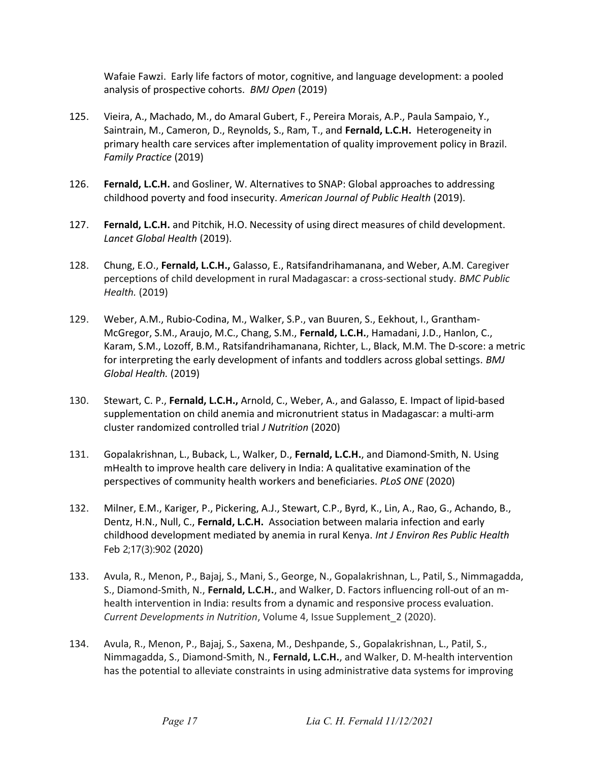Wafaie Fawzi. Early life factors of motor, cognitive, and language development: a pooled analysis of prospective cohorts. BMJ Open (2019)

- 125. Vieira, A., Machado, M., do Amaral Gubert, F., Pereira Morais, A.P., Paula Sampaio, Y., Saintrain, M., Cameron, D., Reynolds, S., Ram, T., and Fernald, L.C.H. Heterogeneity in primary health care services after implementation of quality improvement policy in Brazil. Family Practice (2019)
- 126. Fernald, L.C.H. and Gosliner, W. Alternatives to SNAP: Global approaches to addressing childhood poverty and food insecurity. American Journal of Public Health (2019).
- 127. Fernald, L.C.H. and Pitchik, H.O. Necessity of using direct measures of child development. Lancet Global Health (2019).
- 128. Chung, E.O., Fernald, L.C.H., Galasso, E., Ratsifandrihamanana, and Weber, A.M. Caregiver perceptions of child development in rural Madagascar: a cross-sectional study. BMC Public Health. (2019)
- 129. Weber, A.M., Rubio-Codina, M., Walker, S.P., van Buuren, S., Eekhout, I., Grantham-McGregor, S.M., Araujo, M.C., Chang, S.M., Fernald, L.C.H., Hamadani, J.D., Hanlon, C., Karam, S.M., Lozoff, B.M., Ratsifandrihamanana, Richter, L., Black, M.M. The D-score: a metric for interpreting the early development of infants and toddlers across global settings. BMJ Global Health. (2019)
- 130. Stewart, C. P., Fernald, L.C.H., Arnold, C., Weber, A., and Galasso, E. Impact of lipid-based supplementation on child anemia and micronutrient status in Madagascar: a multi-arm cluster randomized controlled trial J Nutrition (2020)
- 131. Gopalakrishnan, L., Buback, L., Walker, D., Fernald, L.C.H., and Diamond-Smith, N. Using mHealth to improve health care delivery in India: A qualitative examination of the perspectives of community health workers and beneficiaries. PLoS ONE (2020)
- 132. Milner, E.M., Kariger, P., Pickering, A.J., Stewart, C.P., Byrd, K., Lin, A., Rao, G., Achando, B., Dentz, H.N., Null, C., Fernald, L.C.H. Association between malaria infection and early childhood development mediated by anemia in rural Kenya. Int J Environ Res Public Health Feb 2;17(3):902 (2020)
- 133. Avula, R., Menon, P., Bajaj, S., Mani, S., George, N., Gopalakrishnan, L., Patil, S., Nimmagadda, S., Diamond-Smith, N., Fernald, L.C.H., and Walker, D. Factors influencing roll-out of an mhealth intervention in India: results from a dynamic and responsive process evaluation. Current Developments in Nutrition, Volume 4, Issue Supplement\_2 (2020).
- 134. Avula, R., Menon, P., Bajaj, S., Saxena, M., Deshpande, S., Gopalakrishnan, L., Patil, S., Nimmagadda, S., Diamond-Smith, N., Fernald, L.C.H., and Walker, D. M-health intervention has the potential to alleviate constraints in using administrative data systems for improving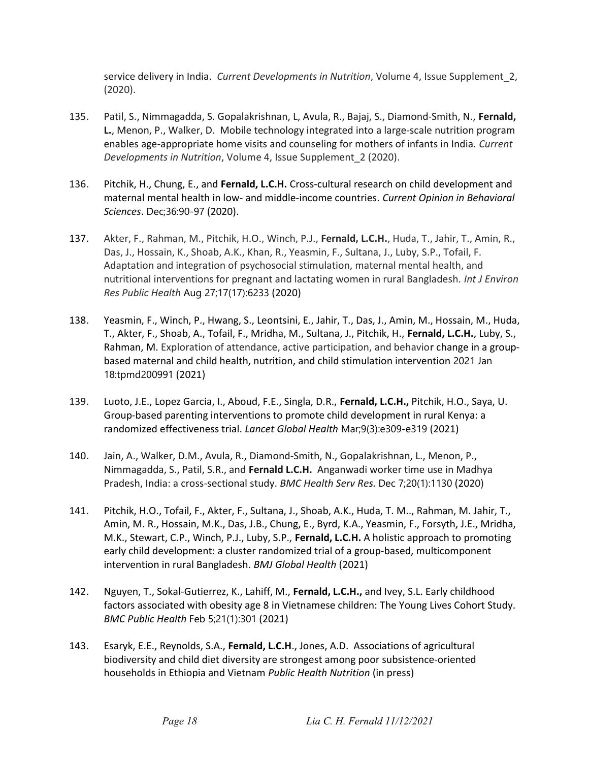service delivery in India. Current Developments in Nutrition, Volume 4, Issue Supplement\_2, (2020).

- 135. Patil, S., Nimmagadda, S. Gopalakrishnan, L, Avula, R., Bajaj, S., Diamond-Smith, N., Fernald, L., Menon, P., Walker, D. Mobile technology integrated into a large-scale nutrition program enables age-appropriate home visits and counseling for mothers of infants in India. Current Developments in Nutrition, Volume 4, Issue Supplement\_2 (2020).
- 136. Pitchik, H., Chung, E., and Fernald, L.C.H. Cross-cultural research on child development and maternal mental health in low- and middle-income countries. Current Opinion in Behavioral Sciences. Dec;36:90-97 (2020).
- 137. Akter, F., Rahman, M., Pitchik, H.O., Winch, P.J., Fernald, L.C.H., Huda, T., Jahir, T., Amin, R., Das, J., Hossain, K., Shoab, A.K., Khan, R., Yeasmin, F., Sultana, J., Luby, S.P., Tofail, F. Adaptation and integration of psychosocial stimulation, maternal mental health, and nutritional interventions for pregnant and lactating women in rural Bangladesh. Int J Environ Res Public Health Aug 27;17(17):6233 (2020)
- 138. Yeasmin, F., Winch, P., Hwang, S., Leontsini, E., Jahir, T., Das, J., Amin, M., Hossain, M., Huda, T., Akter, F., Shoab, A., Tofail, F., Mridha, M., Sultana, J., Pitchik, H., Fernald, L.C.H., Luby, S., Rahman, M. Exploration of attendance, active participation, and behavior change in a groupbased maternal and child health, nutrition, and child stimulation intervention 2021 Jan 18:tpmd200991 (2021)
- 139. Luoto, J.E., Lopez Garcia, I., Aboud, F.E., Singla, D.R., Fernald, L.C.H., Pitchik, H.O., Saya, U. Group-based parenting interventions to promote child development in rural Kenya: a randomized effectiveness trial. Lancet Global Health Mar;9(3):e309-e319 (2021)
- 140. Jain, A., Walker, D.M., Avula, R., Diamond-Smith, N., Gopalakrishnan, L., Menon, P., Nimmagadda, S., Patil, S.R., and Fernald L.C.H. Anganwadi worker time use in Madhya Pradesh, India: a cross-sectional study. BMC Health Serv Res. Dec 7;20(1):1130 (2020)
- 141. Pitchik, H.O., Tofail, F., Akter, F., Sultana, J., Shoab, A.K., Huda, T. M.., Rahman, M. Jahir, T., Amin, M. R., Hossain, M.K., Das, J.B., Chung, E., Byrd, K.A., Yeasmin, F., Forsyth, J.E., Mridha, M.K., Stewart, C.P., Winch, P.J., Luby, S.P., Fernald, L.C.H. A holistic approach to promoting early child development: a cluster randomized trial of a group-based, multicomponent intervention in rural Bangladesh. BMJ Global Health (2021)
- 142. Nguyen, T., Sokal-Gutierrez, K., Lahiff, M., Fernald, L.C.H., and Ivey, S.L. Early childhood factors associated with obesity age 8 in Vietnamese children: The Young Lives Cohort Study. BMC Public Health Feb 5;21(1):301 (2021)
- 143. Esaryk, E.E., Reynolds, S.A., Fernald, L.C.H., Jones, A.D. Associations of agricultural biodiversity and child diet diversity are strongest among poor subsistence-oriented households in Ethiopia and Vietnam Public Health Nutrition (in press)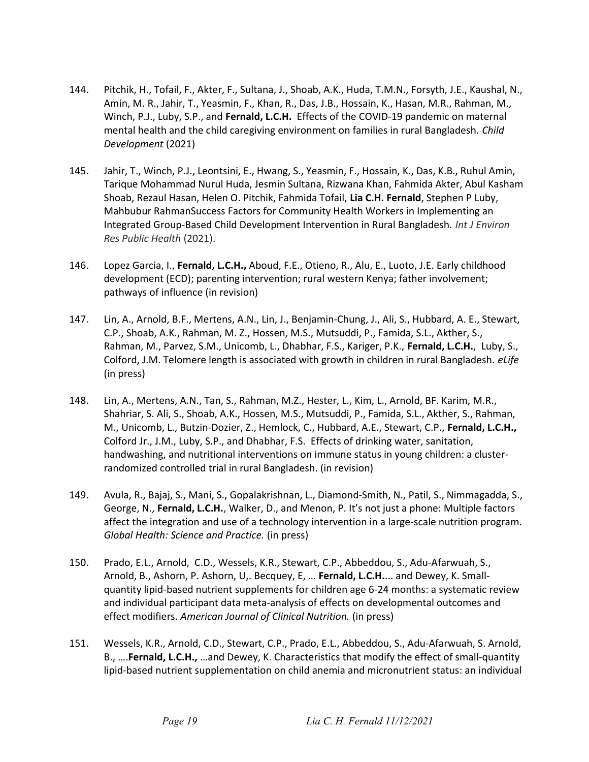- 144. Pitchik, H., Tofail, F., Akter, F., Sultana, J., Shoab, A.K., Huda, T.M.N., Forsyth, J.E., Kaushal, N., Amin, M. R., Jahir, T., Yeasmin, F., Khan, R., Das, J.B., Hossain, K., Hasan, M.R., Rahman, M., Winch, P.J., Luby, S.P., and Fernald, L.C.H. Effects of the COVID-19 pandemic on maternal mental health and the child caregiving environment on families in rural Bangladesh. Child Development (2021)
- 145. Jahir, T., Winch, P.J., Leontsini, E., Hwang, S., Yeasmin, F., Hossain, K., Das, K.B., Ruhul Amin, Tarique Mohammad Nurul Huda, Jesmin Sultana, Rizwana Khan, Fahmida Akter, Abul Kasham Shoab, Rezaul Hasan, Helen O. Pitchik, Fahmida Tofail, Lia C.H. Fernald, Stephen P Luby, Mahbubur RahmanSuccess Factors for Community Health Workers in Implementing an Integrated Group-Based Child Development Intervention in Rural Bangladesh. Int J Environ Res Public Health (2021).
- 146. Lopez Garcia, I., Fernald, L.C.H., Aboud, F.E., Otieno, R., Alu, E., Luoto, J.E. Early childhood development (ECD); parenting intervention; rural western Kenya; father involvement; pathways of influence (in revision)
- 147. Lin, A., Arnold, B.F., Mertens, A.N., Lin, J., Benjamin-Chung, J., Ali, S., Hubbard, A. E., Stewart, C.P., Shoab, A.K., Rahman, M. Z., Hossen, M.S., Mutsuddi, P., Famida, S.L., Akther, S., Rahman, M., Parvez, S.M., Unicomb, L., Dhabhar, F.S., Kariger, P.K., Fernald, L.C.H., Luby, S., Colford, J.M. Telomere length is associated with growth in children in rural Bangladesh. eLife (in press)
- 148. Lin, A., Mertens, A.N., Tan, S., Rahman, M.Z., Hester, L., Kim, L., Arnold, BF. Karim, M.R., Shahriar, S. Ali, S., Shoab, A.K., Hossen, M.S., Mutsuddi, P., Famida, S.L., Akther, S., Rahman, M., Unicomb, L., Butzin-Dozier, Z., Hemlock, C., Hubbard, A.E., Stewart, C.P., Fernald, L.C.H., Colford Jr., J.M., Luby, S.P., and Dhabhar, F.S. Effects of drinking water, sanitation, handwashing, and nutritional interventions on immune status in young children: a clusterrandomized controlled trial in rural Bangladesh. (in revision)
- 149. Avula, R., Bajaj, S., Mani, S., Gopalakrishnan, L., Diamond-Smith, N., Patil, S., Nimmagadda, S., George, N., Fernald, L.C.H., Walker, D., and Menon, P. It's not just a phone: Multiple factors affect the integration and use of a technology intervention in a large-scale nutrition program. Global Health: Science and Practice. (in press)
- 150. Prado, E.L., Arnold, C.D., Wessels, K.R., Stewart, C.P., Abbeddou, S., Adu-Afarwuah, S., Arnold, B., Ashorn, P. Ashorn, U,. Becquey, E, ... Fernald, L.C.H.... and Dewey, K. Smallquantity lipid-based nutrient supplements for children age 6-24 months: a systematic review and individual participant data meta-analysis of effects on developmental outcomes and effect modifiers. American Journal of Clinical Nutrition. (in press)
- 151. Wessels, K.R., Arnold, C.D., Stewart, C.P., Prado, E.L., Abbeddou, S., Adu-Afarwuah, S. Arnold, B., .... Fernald, L.C.H., ... and Dewey, K. Characteristics that modify the effect of small-quantity lipid-based nutrient supplementation on child anemia and micronutrient status: an individual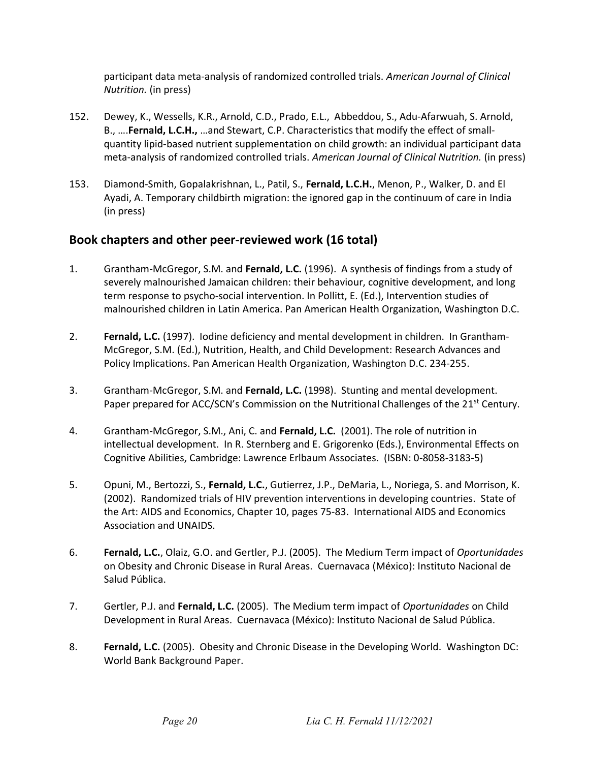participant data meta-analysis of randomized controlled trials. American Journal of Clinical Nutrition. (in press)

- 152. Dewey, K., Wessells, K.R., Arnold, C.D., Prado, E.L., Abbeddou, S., Adu-Afarwuah, S. Arnold, B., ….Fernald, L.C.H., …and Stewart, C.P. Characteristics that modify the effect of smallquantity lipid-based nutrient supplementation on child growth: an individual participant data meta-analysis of randomized controlled trials. American Journal of Clinical Nutrition. (in press)
- 153. Diamond-Smith, Gopalakrishnan, L., Patil, S., Fernald, L.C.H., Menon, P., Walker, D. and El Ayadi, A. Temporary childbirth migration: the ignored gap in the continuum of care in India (in press)

### Book chapters and other peer-reviewed work (16 total)

- 1. Grantham-McGregor, S.M. and Fernald, L.C. (1996). A synthesis of findings from a study of severely malnourished Jamaican children: their behaviour, cognitive development, and long term response to psycho-social intervention. In Pollitt, E. (Ed.), Intervention studies of malnourished children in Latin America. Pan American Health Organization, Washington D.C.
- 2. Fernald, L.C. (1997). Iodine deficiency and mental development in children. In Grantham-McGregor, S.M. (Ed.), Nutrition, Health, and Child Development: Research Advances and Policy Implications. Pan American Health Organization, Washington D.C. 234-255.
- 3. Grantham-McGregor, S.M. and Fernald, L.C. (1998). Stunting and mental development. Paper prepared for ACC/SCN's Commission on the Nutritional Challenges of the 21<sup>st</sup> Century.
- 4. Grantham-McGregor, S.M., Ani, C. and Fernald, L.C. (2001). The role of nutrition in intellectual development. In R. Sternberg and E. Grigorenko (Eds.), Environmental Effects on Cognitive Abilities, Cambridge: Lawrence Erlbaum Associates. (ISBN: 0-8058-3183-5)
- 5. Opuni, M., Bertozzi, S., Fernald, L.C., Gutierrez, J.P., DeMaria, L., Noriega, S. and Morrison, K. (2002). Randomized trials of HIV prevention interventions in developing countries. State of the Art: AIDS and Economics, Chapter 10, pages 75-83. International AIDS and Economics Association and UNAIDS.
- 6. Fernald, L.C., Olaiz, G.O. and Gertler, P.J. (2005). The Medium Term impact of Oportunidades on Obesity and Chronic Disease in Rural Areas. Cuernavaca (México): Instituto Nacional de Salud Pública.
- 7. Gertler, P.J. and Fernald, L.C. (2005). The Medium term impact of Oportunidades on Child Development in Rural Areas. Cuernavaca (México): Instituto Nacional de Salud Pública.
- 8. Fernald, L.C. (2005). Obesity and Chronic Disease in the Developing World. Washington DC: World Bank Background Paper.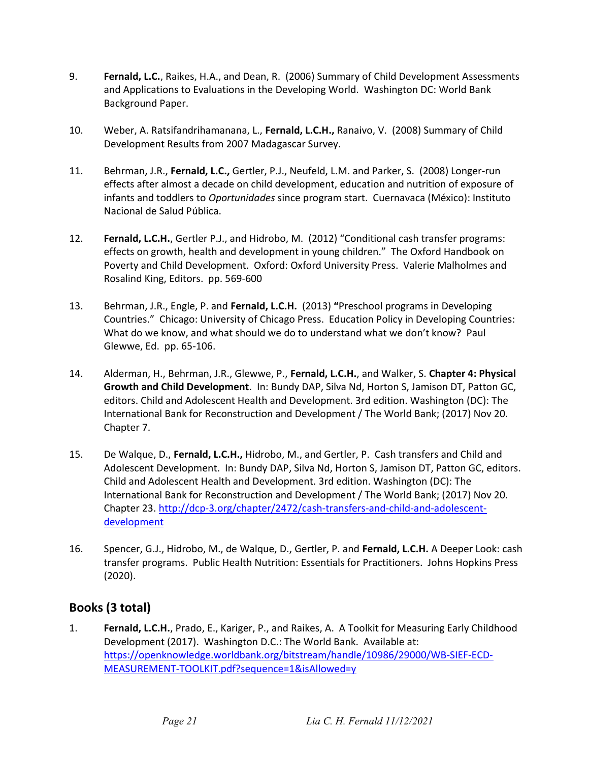- 9. **Fernald, L.C.**, Raikes, H.A., and Dean, R. (2006) Summary of Child Development Assessments and Applications to Evaluations in the Developing World. Washington DC: World Bank Background Paper.
- 10. Weber, A. Ratsifandrihamanana, L., Fernald, L.C.H., Ranaivo, V. (2008) Summary of Child Development Results from 2007 Madagascar Survey.
- 11. Behrman, J.R., Fernald, L.C., Gertler, P.J., Neufeld, L.M. and Parker, S. (2008) Longer-run effects after almost a decade on child development, education and nutrition of exposure of infants and toddlers to Oportunidades since program start. Cuernavaca (México): Instituto Nacional de Salud Pública.
- 12. Fernald, L.C.H., Gertler P.J., and Hidrobo, M. (2012) "Conditional cash transfer programs: effects on growth, health and development in young children." The Oxford Handbook on Poverty and Child Development. Oxford: Oxford University Press. Valerie Malholmes and Rosalind King, Editors. pp. 569-600
- 13. Behrman, J.R., Engle, P. and Fernald, L.C.H. (2013) "Preschool programs in Developing Countries." Chicago: University of Chicago Press. Education Policy in Developing Countries: What do we know, and what should we do to understand what we don't know? Paul Glewwe, Ed. pp. 65-106.
- 14. Alderman, H., Behrman, J.R., Glewwe, P., Fernald, L.C.H., and Walker, S. Chapter 4: Physical Growth and Child Development. In: Bundy DAP, Silva Nd, Horton S, Jamison DT, Patton GC, editors. Child and Adolescent Health and Development. 3rd edition. Washington (DC): The International Bank for Reconstruction and Development / The World Bank; (2017) Nov 20. Chapter 7.
- 15. De Walque, D., Fernald, L.C.H., Hidrobo, M., and Gertler, P. Cash transfers and Child and Adolescent Development. In: Bundy DAP, Silva Nd, Horton S, Jamison DT, Patton GC, editors. Child and Adolescent Health and Development. 3rd edition. Washington (DC): The International Bank for Reconstruction and Development / The World Bank; (2017) Nov 20. Chapter 23. http://dcp-3.org/chapter/2472/cash-transfers-and-child-and-adolescentdevelopment
- 16. Spencer, G.J., Hidrobo, M., de Walque, D., Gertler, P. and Fernald, L.C.H. A Deeper Look: cash transfer programs. Public Health Nutrition: Essentials for Practitioners. Johns Hopkins Press (2020).

### Books (3 total)

1. Fernald, L.C.H., Prado, E., Kariger, P., and Raikes, A. A Toolkit for Measuring Early Childhood Development (2017). Washington D.C.: The World Bank. Available at: https://openknowledge.worldbank.org/bitstream/handle/10986/29000/WB-SIEF-ECD-MEASUREMENT-TOOLKIT.pdf?sequence=1&isAllowed=y